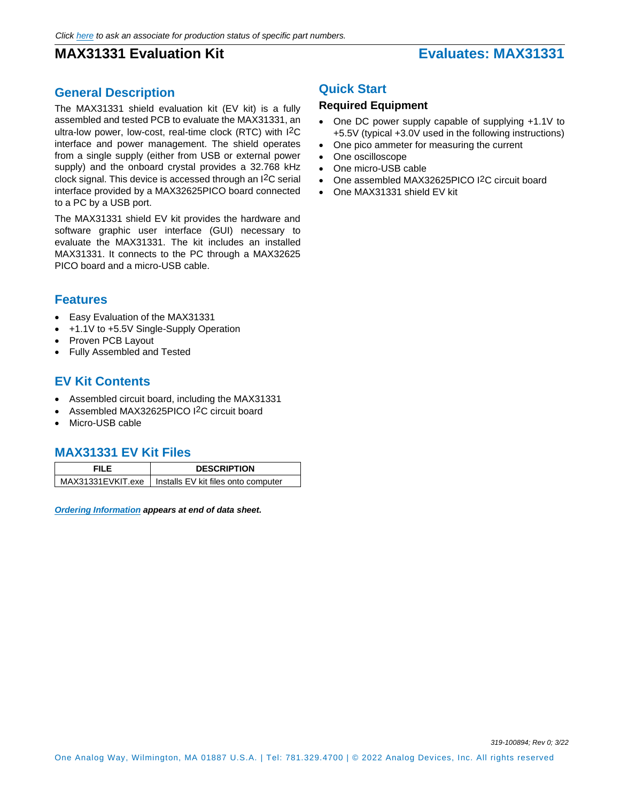# **MAX31331 Evaluation Kit Evaluates: MAX31331**

## **General Description**

The MAX31331 shield evaluation kit (EV kit) is a fully assembled and tested PCB to evaluate the MAX31331, an ultra-low power, low-cost, real-time clock (RTC) with I2C interface and power management. The shield operates from a single supply (either from USB or external power supply) and the onboard crystal provides a 32.768 kHz clock signal. This device is accessed through an I2C serial interface provided by a MAX32625PICO board connected to a PC by a USB port.

The MAX31331 shield EV kit provides the hardware and software graphic user interface (GUI) necessary to evaluate the MAX31331. The kit includes an installed MAX31331. It connects to the PC through a MAX32625 PICO board and a micro-USB cable.

## **Features**

- Easy Evaluation of the MAX31331
- +1.1V to +5.5V Single-Supply Operation
- Proven PCB Layout
- Fully Assembled and Tested

## **EV Kit Contents**

- Assembled circuit board, including the MAX31331
- Assembled MAX32625PICO I2C circuit board
- Micro-USB cable

### **MAX31331 EV Kit Files**

| FII F | <b>DESCRIPTION</b>                                      |
|-------|---------------------------------------------------------|
|       | MAX31331EVKIT.exe   Installs EV kit files onto computer |

*[Ordering Information](#page-5-0) appears at end of data sheet.*

## **Quick Start**

### **Required Equipment**

- One DC power supply capable of supplying +1.1V to +5.5V (typical +3.0V used in the following instructions)
- One pico ammeter for measuring the current
- One oscilloscope
- One micro-USB cable
- One assembled MAX32625PICO I2C circuit board
- One MAX31331 shield EV kit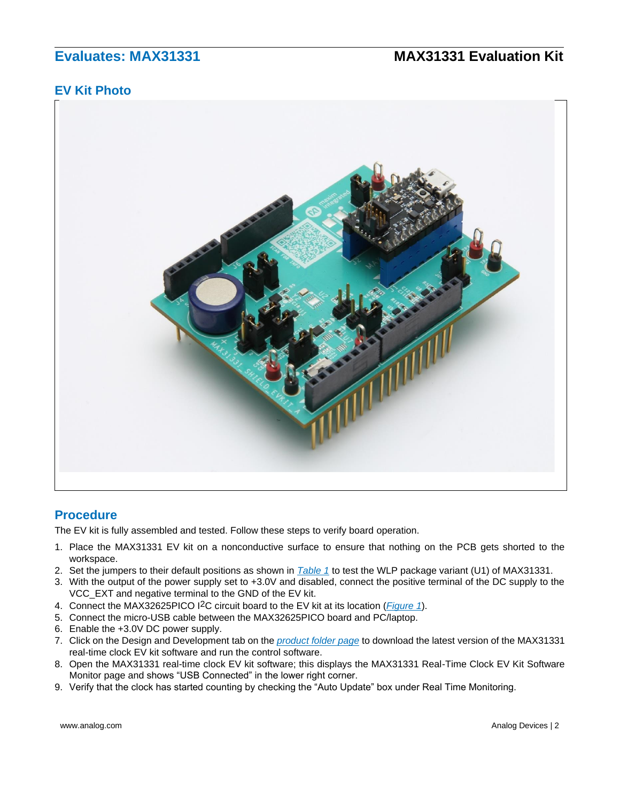## **EV Kit Photo**



### **Procedure**

The EV kit is fully assembled and tested. Follow these steps to verify board operation.

- 1. Place the MAX31331 EV kit on a nonconductive surface to ensure that nothing on the PCB gets shorted to the workspace.
- 2. Set the jumpers to their default positions as shown in *[Table 1](#page-3-0)* to test the WLP package variant (U1) of MAX31331.
- 3. With the output of the power supply set to +3.0V and disabled, connect the positive terminal of the DC supply to the VCC\_EXT and negative terminal to the GND of the EV kit.
- 4. Connect the MAX32625PICO I2C circuit board to the EV kit at its location (*[Figure 1](#page-2-0)*).
- 5. Connect the micro-USB cable between the MAX32625PICO board and PC/laptop.
- 6. Enable the +3.0V DC power supply.
- 7. Click on the Design and Development tab on the *[product folder page](http://www.maximintegrated.com/MAX31331EVKIT)* to download the latest version of the MAX31331 real-time clock EV kit software and run the control software.
- 8. Open the MAX31331 real-time clock EV kit software; this displays the MAX31331 Real-Time Clock EV Kit Software Monitor page and shows "USB Connected" in the lower right corner.
- 9. Verify that the clock has started counting by checking the "Auto Update" box under Real Time Monitoring.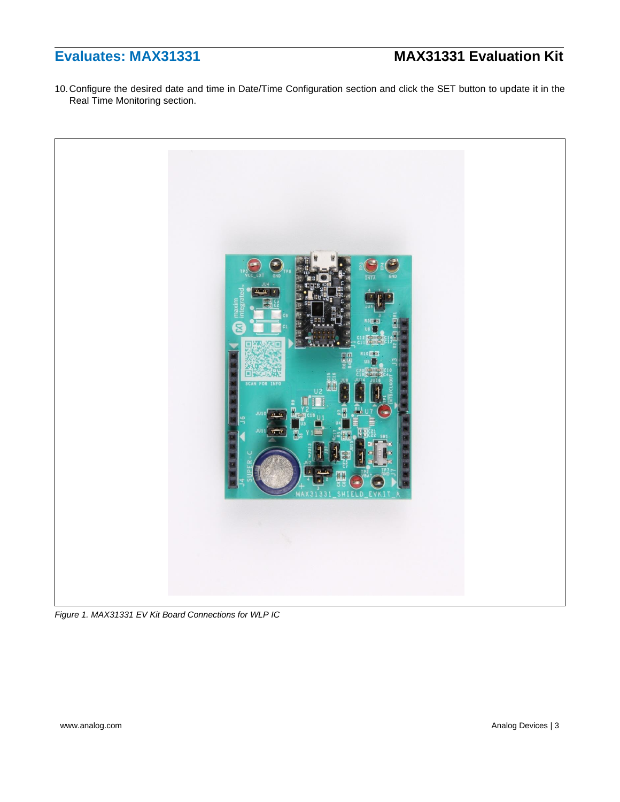10.Configure the desired date and time in Date/Time Configuration section and click the SET button to update it in the Real Time Monitoring section.

<span id="page-2-0"></span>

*Figure 1. MAX31331 EV Kit Board Connections for WLP IC*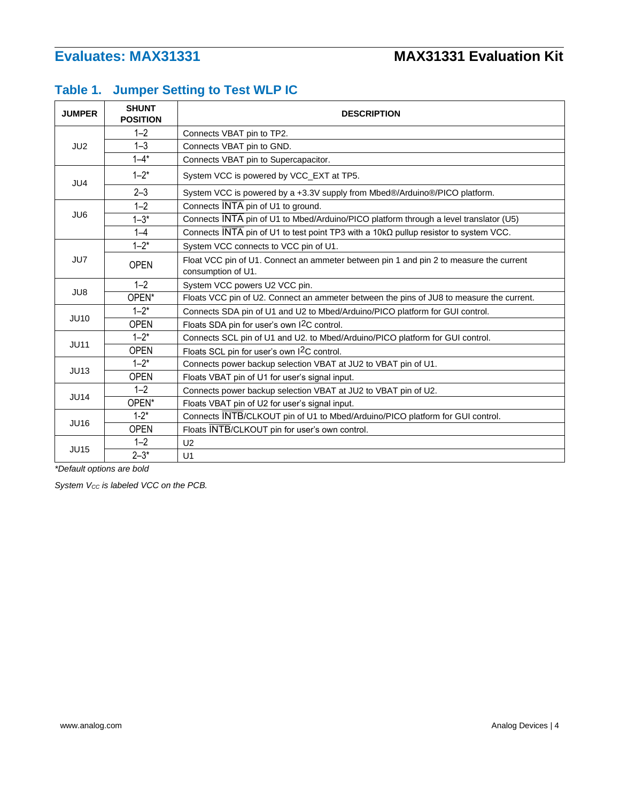# <span id="page-3-0"></span>**Table 1. Jumper Setting to Test WLP IC**

| <b>JUMPER</b>   | <b>SHUNT</b><br><b>POSITION</b> | <b>DESCRIPTION</b>                                                                                           |  |  |  |
|-----------------|---------------------------------|--------------------------------------------------------------------------------------------------------------|--|--|--|
|                 | $1 - 2$                         | Connects VBAT pin to TP2.                                                                                    |  |  |  |
| JU <sub>2</sub> | $1 - 3$                         | Connects VBAT pin to GND.                                                                                    |  |  |  |
|                 | $1 - 4^*$                       | Connects VBAT pin to Supercapacitor.                                                                         |  |  |  |
| JU4             | $1 - 2^*$                       | System VCC is powered by VCC_EXT at TP5.                                                                     |  |  |  |
|                 | $2 - 3$                         | System VCC is powered by a +3.3V supply from Mbed®/Arduino®/PICO platform.                                   |  |  |  |
|                 | $1 - 2$                         | Connects INTA pin of U1 to ground.                                                                           |  |  |  |
| JU6             | $1 - 3*$                        | Connects INTA pin of U1 to Mbed/Arduino/PICO platform through a level translator (U5)                        |  |  |  |
|                 | $1 - 4$                         | Connects INTA pin of U1 to test point TP3 with a 10k $\Omega$ pullup resistor to system VCC.                 |  |  |  |
|                 | $1 - 2^*$                       | System VCC connects to VCC pin of U1.                                                                        |  |  |  |
| JU7             | <b>OPEN</b>                     | Float VCC pin of U1. Connect an ammeter between pin 1 and pin 2 to measure the current<br>consumption of U1. |  |  |  |
|                 | $1 - 2$                         | System VCC powers U2 VCC pin.                                                                                |  |  |  |
| JU8             | OPEN*                           | Floats VCC pin of U2. Connect an ammeter between the pins of JU8 to measure the current.                     |  |  |  |
| <b>JU10</b>     | $1 - 2^*$                       | Connects SDA pin of U1 and U2 to Mbed/Arduino/PICO platform for GUI control.                                 |  |  |  |
|                 | <b>OPEN</b>                     | Floats SDA pin for user's own I <sup>2</sup> C control.                                                      |  |  |  |
| <b>JU11</b>     | $1 - 2^*$                       | Connects SCL pin of U1 and U2. to Mbed/Arduino/PICO platform for GUI control.                                |  |  |  |
|                 | <b>OPEN</b>                     | Floats SCL pin for user's own I <sup>2</sup> C control.                                                      |  |  |  |
| JU13            | $1 - 2^*$                       | Connects power backup selection VBAT at JU2 to VBAT pin of U1.                                               |  |  |  |
|                 | <b>OPEN</b>                     | Floats VBAT pin of U1 for user's signal input.                                                               |  |  |  |
| <b>JU14</b>     | $1 - 2$                         | Connects power backup selection VBAT at JU2 to VBAT pin of U2.                                               |  |  |  |
|                 | OPEN*                           | Floats VBAT pin of U2 for user's signal input.                                                               |  |  |  |
| <b>JU16</b>     | $1-2*$                          | Connects INTB/CLKOUT pin of U1 to Mbed/Arduino/PICO platform for GUI control.                                |  |  |  |
|                 | <b>OPEN</b>                     | Floats INTB/CLKOUT pin for user's own control.                                                               |  |  |  |
|                 | $1 - 2$                         | U <sub>2</sub>                                                                                               |  |  |  |
| <b>JU15</b>     | $2 - 3*$                        | U1                                                                                                           |  |  |  |

*\*Default options are bold*

*System VCC is labeled VCC on the PCB.*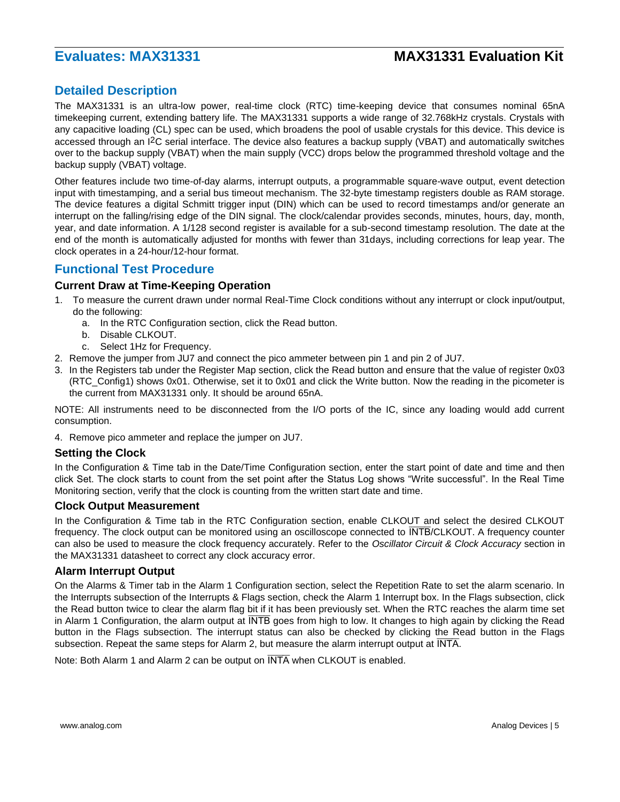## **Detailed Description**

The MAX31331 is an ultra-low power, real-time clock (RTC) time-keeping device that consumes nominal 65nA timekeeping current, extending battery life. The MAX31331 supports a wide range of 32.768kHz crystals. Crystals with any capacitive loading (CL) spec can be used, which broadens the pool of usable crystals for this device. This device is accessed through an I2C serial interface. The device also features a backup supply (VBAT) and automatically switches over to the backup supply (VBAT) when the main supply (VCC) drops below the programmed threshold voltage and the backup supply (VBAT) voltage.

Other features include two time-of-day alarms, interrupt outputs, a programmable square-wave output, event detection input with timestamping, and a serial bus timeout mechanism. The 32-byte timestamp registers double as RAM storage. The device features a digital Schmitt trigger input (DIN) which can be used to record timestamps and/or generate an interrupt on the falling/rising edge of the DIN signal. The clock/calendar provides seconds, minutes, hours, day, month, year, and date information. A 1/128 second register is available for a sub-second timestamp resolution. The date at the end of the month is automatically adjusted for months with fewer than 31days, including corrections for leap year. The clock operates in a 24-hour/12-hour format.

### **Functional Test Procedure**

### **Current Draw at Time-Keeping Operation**

- 1. To measure the current drawn under normal Real-Time Clock conditions without any interrupt or clock input/output, do the following:
	- a. In the RTC Configuration section, click the Read button.
	- b. Disable CLKOUT.
	- c. Select 1Hz for Frequency.
- 2. Remove the jumper from JU7 and connect the pico ammeter between pin 1 and pin 2 of JU7.
- 3. In the Registers tab under the Register Map section, click the Read button and ensure that the value of register 0x03 (RTC\_Config1) shows 0x01. Otherwise, set it to 0x01 and click the Write button. Now the reading in the picometer is the current from MAX31331 only. It should be around 65nA.

NOTE: All instruments need to be disconnected from the I/O ports of the IC, since any loading would add current consumption.

4. Remove pico ammeter and replace the jumper on JU7.

### **Setting the Clock**

In the Configuration & Time tab in the Date/Time Configuration section, enter the start point of date and time and then click Set. The clock starts to count from the set point after the Status Log shows "Write successful". In the Real Time Monitoring section, verify that the clock is counting from the written start date and time.

### **Clock Output Measurement**

In the Configuration & Time tab in the RTC Configuration section, enable CLKOUT and select the desired CLKOUT frequency. The clock output can be monitored using an oscilloscope connected to INTB/CLKOUT. A frequency counter can also be used to measure the clock frequency accurately. Refer to the *Oscillator Circuit & Clock Accuracy* section in the MAX31331 datasheet to correct any clock accuracy error.

### **Alarm Interrupt Output**

On the Alarms & Timer tab in the Alarm 1 Configuration section, select the Repetition Rate to set the alarm scenario. In the Interrupts subsection of the Interrupts & Flags section, check the Alarm 1 Interrupt box. In the Flags subsection, click the Read button twice to clear the alarm flag bit if it has been previously set. When the RTC reaches the alarm time set in Alarm 1 Configuration, the alarm output at INTB goes from high to low. It changes to high again by clicking the Read button in the Flags subsection. The interrupt status can also be checked by clicking the Read button in the Flags subsection. Repeat the same steps for Alarm 2, but measure the alarm interrupt output at INTA.

Note: Both Alarm 1 and Alarm 2 can be output on INTA when CLKOUT is enabled.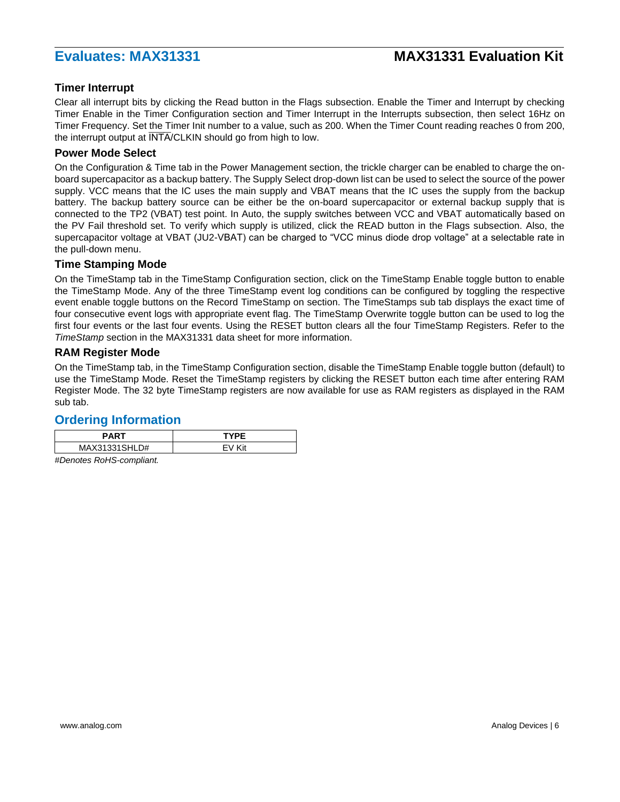### **Timer Interrupt**

Clear all interrupt bits by clicking the Read button in the Flags subsection. Enable the Timer and Interrupt by checking Timer Enable in the Timer Configuration section and Timer Interrupt in the Interrupts subsection, then select 16Hz on Timer Frequency. Set the Timer Init number to a value, such as 200. When the Timer Count reading reaches 0 from 200, the interrupt output at INTA/CLKIN should go from high to low.

### **Power Mode Select**

On the Configuration & Time tab in the Power Management section, the trickle charger can be enabled to charge the onboard supercapacitor as a backup battery. The Supply Select drop-down list can be used to select the source of the power supply. VCC means that the IC uses the main supply and VBAT means that the IC uses the supply from the backup battery. The backup battery source can be either be the on-board supercapacitor or external backup supply that is connected to the TP2 (VBAT) test point. In Auto, the supply switches between VCC and VBAT automatically based on the PV Fail threshold set. To verify which supply is utilized, click the READ button in the Flags subsection. Also, the supercapacitor voltage at VBAT (JU2-VBAT) can be charged to "VCC minus diode drop voltage" at a selectable rate in the pull-down menu.

### **Time Stamping Mode**

On the TimeStamp tab in the TimeStamp Configuration section, click on the TimeStamp Enable toggle button to enable the TimeStamp Mode. Any of the three TimeStamp event log conditions can be configured by toggling the respective event enable toggle buttons on the Record TimeStamp on section. The TimeStamps sub tab displays the exact time of four consecutive event logs with appropriate event flag. The TimeStamp Overwrite toggle button can be used to log the first four events or the last four events. Using the RESET button clears all the four TimeStamp Registers. Refer to the *TimeStamp* section in the MAX31331 data sheet for more information.

### **RAM Register Mode**

On the TimeStamp tab, in the TimeStamp Configuration section, disable the TimeStamp Enable toggle button (default) to use the TimeStamp Mode. Reset the TimeStamp registers by clicking the RESET button each time after entering RAM Register Mode. The 32 byte TimeStamp registers are now available for use as RAM registers as displayed in the RAM sub tab.

### <span id="page-5-0"></span>**Ordering Information**

| <b>PART</b>        | TVDE |
|--------------------|------|
| MAX31331SHL<br>.D# | ′it  |

*#Denotes RoHS-compliant.*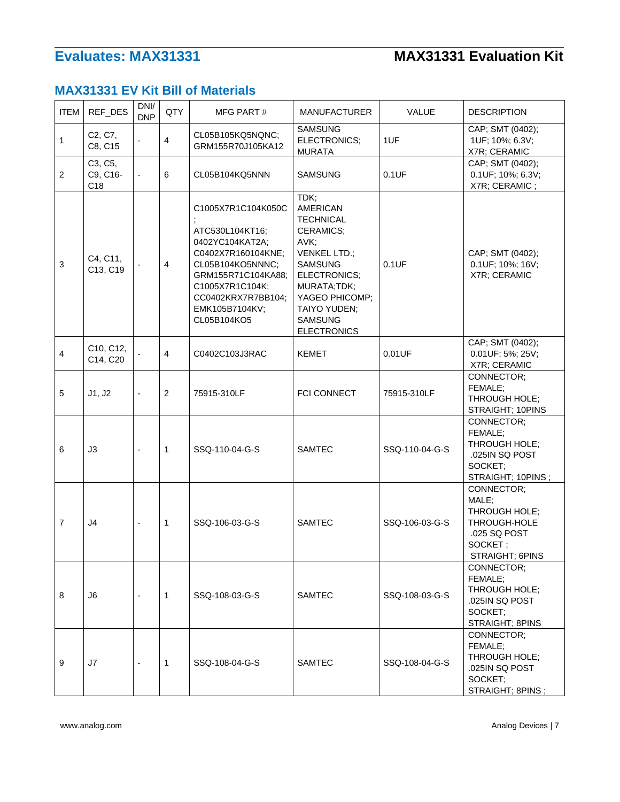# **MAX31331 EV Kit Bill of Materials**

| <b>ITEM</b> | REF_DES                                | DNI/<br><b>DNP</b>       | QTY            | MFG PART#                                                                                                                                                                                          | <b>MANUFACTURER</b>                                                                                                                                                                                                | VALUE          | <b>DESCRIPTION</b>                                                                                 |
|-------------|----------------------------------------|--------------------------|----------------|----------------------------------------------------------------------------------------------------------------------------------------------------------------------------------------------------|--------------------------------------------------------------------------------------------------------------------------------------------------------------------------------------------------------------------|----------------|----------------------------------------------------------------------------------------------------|
| 1           | C2, C7,<br>C8, C15                     |                          | $\overline{4}$ | CL05B105KQ5NQNC;<br>GRM155R70J105KA12                                                                                                                                                              | <b>SAMSUNG</b><br>ELECTRONICS;<br><b>MURATA</b>                                                                                                                                                                    | 1UF            | CAP; SMT (0402);<br>1UF; 10%; 6.3V;<br>X7R; CERAMIC                                                |
| 2           | C3, C5,<br>C9, C16-<br>C <sub>18</sub> | $\overline{\phantom{a}}$ | 6              | CL05B104KQ5NNN                                                                                                                                                                                     | <b>SAMSUNG</b>                                                                                                                                                                                                     | 0.1UF          | CAP; SMT (0402);<br>0.1UF; 10%; 6.3V;<br>X7R; CERAMIC;                                             |
| $\sqrt{3}$  | C4, C11,<br>C13, C19                   |                          | $\overline{4}$ | C1005X7R1C104K050C<br>ATC530L104KT16;<br>0402YC104KAT2A:<br>C0402X7R160104KNE;<br>CL05B104KO5NNNC;<br>GRM155R71C104KA88;<br>C1005X7R1C104K;<br>CC0402KRX7R7BB104;<br>EMK105B7104KV;<br>CL05B104KO5 | TDK;<br><b>AMERICAN</b><br><b>TECHNICAL</b><br>CERAMICS;<br>AVK:<br><b>VENKEL LTD.;</b><br><b>SAMSUNG</b><br>ELECTRONICS;<br>MURATA;TDK;<br>YAGEO PHICOMP;<br>TAIYO YUDEN;<br><b>SAMSUNG</b><br><b>ELECTRONICS</b> | 0.1UF          | CAP; SMT (0402);<br>0.1UF; 10%; 16V;<br>X7R; CERAMIC                                               |
| 4           | C10, C12,<br>C14, C20                  |                          | $\overline{4}$ | C0402C103J3RAC                                                                                                                                                                                     | <b>KEMET</b>                                                                                                                                                                                                       | 0.01UF         | CAP; SMT (0402);<br>0.01UF; 5%; 25V;<br>X7R; CERAMIC                                               |
| 5           | J1, J2                                 | $\overline{\phantom{a}}$ | 2              | 75915-310LF                                                                                                                                                                                        | <b>FCI CONNECT</b>                                                                                                                                                                                                 | 75915-310LF    | CONNECTOR:<br>FEMALE:<br>THROUGH HOLE:<br>STRAIGHT; 10PINS                                         |
| 6           | J3                                     | $\overline{a}$           | $\mathbf{1}$   | SSQ-110-04-G-S                                                                                                                                                                                     | <b>SAMTEC</b>                                                                                                                                                                                                      | SSQ-110-04-G-S | CONNECTOR:<br>FEMALE;<br>THROUGH HOLE;<br>.025IN SQ POST<br>SOCKET:<br>STRAIGHT; 10PINS;           |
| 7           | J4                                     | $\overline{\phantom{a}}$ | $\mathbf 1$    | SSQ-106-03-G-S                                                                                                                                                                                     | <b>SAMTEC</b>                                                                                                                                                                                                      | SSQ-106-03-G-S | CONNECTOR;<br>MALE;<br>THROUGH HOLE;<br>THROUGH-HOLE<br>.025 SQ POST<br>SOCKET;<br>STRAIGHT; 6PINS |
| 8           | J6                                     | $\overline{\phantom{a}}$ | $\mathbf 1$    | SSQ-108-03-G-S                                                                                                                                                                                     | SAMTEC                                                                                                                                                                                                             | SSQ-108-03-G-S | CONNECTOR:<br>FEMALE:<br>THROUGH HOLE:<br>.025IN SQ POST<br>SOCKET:<br>STRAIGHT; 8PINS             |
| 9           | J7                                     |                          | $\mathbf 1$    | SSQ-108-04-G-S                                                                                                                                                                                     | SAMTEC                                                                                                                                                                                                             | SSQ-108-04-G-S | CONNECTOR:<br>FEMALE:<br>THROUGH HOLE:<br>.025IN SQ POST<br>SOCKET:<br>STRAIGHT; 8PINS;            |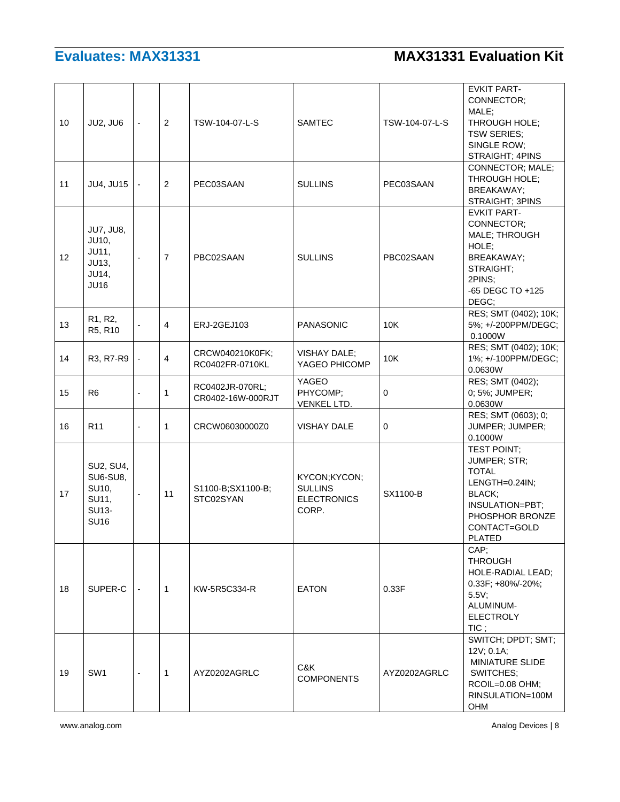| 10 | JU2, JU6                                                                   | $\overline{\phantom{a}}$ | 2              | TSW-104-07-L-S                       | <b>SAMTEC</b>                                                 | TSW-104-07-L-S | <b>EVKIT PART-</b><br>CONNECTOR;<br>MALE:<br>THROUGH HOLE;<br><b>TSW SERIES:</b><br>SINGLE ROW;<br>STRAIGHT; 4PINS                      |
|----|----------------------------------------------------------------------------|--------------------------|----------------|--------------------------------------|---------------------------------------------------------------|----------------|-----------------------------------------------------------------------------------------------------------------------------------------|
| 11 | JU4, JU15                                                                  | $\blacksquare$           | 2              | PEC03SAAN                            | <b>SULLINS</b>                                                | PEC03SAAN      | CONNECTOR; MALE;<br>THROUGH HOLE;<br><b>BREAKAWAY:</b><br>STRAIGHT; 3PINS                                                               |
| 12 | <b>JU7, JU8,</b><br>JU10,<br>JU11,<br>JU13,<br><b>JU14,</b><br><b>JU16</b> |                          | $\overline{7}$ | PBC02SAAN                            | <b>SULLINS</b>                                                | PBC02SAAN      | <b>EVKIT PART-</b><br>CONNECTOR:<br>MALE; THROUGH<br>HOLE;<br><b>BREAKAWAY;</b><br>STRAIGHT;<br>2PINS:<br>-65 DEGC TO +125<br>DEGC:     |
| 13 | R1, R2,<br>R5, R10                                                         | $\blacksquare$           | 4              | ERJ-2GEJ103                          | <b>PANASONIC</b>                                              | 10K            | RES; SMT (0402); 10K;<br>5%; +/-200PPM/DEGC;<br>0.1000W                                                                                 |
| 14 | R3, R7-R9                                                                  | $\overline{\phantom{a}}$ | $\overline{4}$ | CRCW040210K0FK:<br>RC0402FR-0710KL   | <b>VISHAY DALE:</b><br>YAGEO PHICOMP                          | 10K            | RES; SMT (0402); 10K;<br>1%; +/-100PPM/DEGC;<br>0.0630W                                                                                 |
| 15 | R <sub>6</sub>                                                             |                          | $\mathbf{1}$   | RC0402JR-070RL;<br>CR0402-16W-000RJT | YAGEO<br>PHYCOMP;<br>VENKEL LTD.                              | 0              | RES; SMT (0402);<br>0; 5%; JUMPER;<br>0.0630W                                                                                           |
| 16 | R <sub>11</sub>                                                            | L,                       | $\mathbf{1}$   | CRCW06030000Z0                       | <b>VISHAY DALE</b>                                            | 0              | RES; SMT (0603); 0;<br>JUMPER; JUMPER;<br>0.1000W                                                                                       |
| 17 | SU2, SU4,<br>SU6-SU8,<br>SU10,<br>SU11,<br>SU13-<br><b>SU16</b>            | $\overline{\phantom{a}}$ | 11             | S1100-B;SX1100-B;<br>STC02SYAN       | KYCON;KYCON;<br><b>SULLINS</b><br><b>ELECTRONICS</b><br>CORP. | SX1100-B       | TEST POINT;<br>JUMPER; STR;<br><b>TOTAL</b><br>LENGTH=0.24IN;<br>BLACK:<br>INSULATION=PBT;<br>PHOSPHOR BRONZE<br>CONTACT=GOLD<br>PLATED |
| 18 | SUPER-C                                                                    | $\blacksquare$           | $\mathbf{1}$   | KW-5R5C334-R                         | <b>EATON</b>                                                  | 0.33F          | CAP;<br><b>THROUGH</b><br>HOLE-RADIAL LEAD;<br>0.33F; +80%/-20%;<br>5.5V<br>ALUMINUM-<br><b>ELECTROLY</b><br>$TIC$ ;                    |
| 19 | SW <sub>1</sub>                                                            | $\overline{\phantom{a}}$ | $\mathbf{1}$   | AYZ0202AGRLC                         | C&K<br><b>COMPONENTS</b>                                      | AYZ0202AGRLC   | SWITCH; DPDT; SMT;<br>12V; 0.1A;<br><b>MINIATURE SLIDE</b><br>SWITCHES:<br>RCOIL=0.08 OHM;<br>RINSULATION=100M<br>OHM                   |

www.analog.com Analog Devices | 8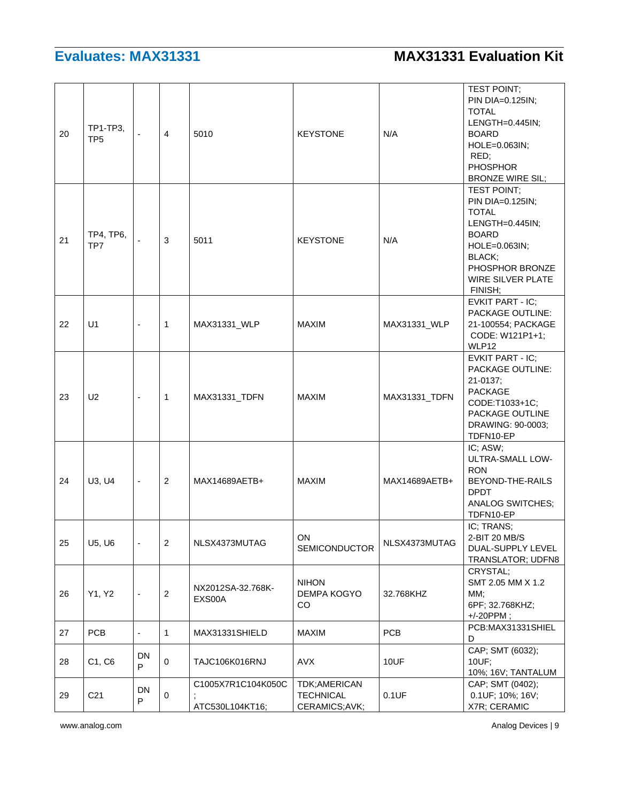| 20 | TP1-TP3,<br>TP <sub>5</sub> |                          | $\overline{4}$ | 5010                                  | <b>KEYSTONE</b>                                   | N/A           | <b>TEST POINT:</b><br>PIN DIA=0.125IN;<br><b>TOTAL</b><br>LENGTH=0.445IN;<br><b>BOARD</b><br>HOLE=0.063IN;<br>RED;<br><b>PHOSPHOR</b><br><b>BRONZE WIRE SIL;</b> |
|----|-----------------------------|--------------------------|----------------|---------------------------------------|---------------------------------------------------|---------------|------------------------------------------------------------------------------------------------------------------------------------------------------------------|
| 21 | TP4, TP6,<br>TP7            |                          | 3              | 5011                                  | <b>KEYSTONE</b>                                   | N/A           | TEST POINT;<br>PIN DIA=0.125IN;<br><b>TOTAL</b><br>LENGTH=0.445IN;<br><b>BOARD</b><br>HOLE=0.063IN;<br>BLACK:<br>PHOSPHOR BRONZE<br>WIRE SILVER PLATE<br>FINISH; |
| 22 | U1                          | $\blacksquare$           | $\mathbf{1}$   | MAX31331_WLP                          | <b>MAXIM</b>                                      | MAX31331_WLP  | EVKIT PART - IC;<br>PACKAGE OUTLINE:<br>21-100554; PACKAGE<br>CODE: W121P1+1;<br>WLP12                                                                           |
| 23 | U <sub>2</sub>              | $\blacksquare$           | $\mathbf{1}$   | MAX31331_TDFN                         | <b>MAXIM</b>                                      | MAX31331_TDFN | <b>EVKIT PART - IC:</b><br>PACKAGE OUTLINE:<br>21-0137;<br><b>PACKAGE</b><br>CODE:T1033+1C;<br>PACKAGE OUTLINE<br>DRAWING: 90-0003;<br>TDFN10-EP                 |
| 24 | U3, U4                      | $\overline{\phantom{a}}$ | 2              | MAX14689AETB+                         | <b>MAXIM</b>                                      | MAX14689AETB+ | IC; ASW;<br>ULTRA-SMALL LOW-<br><b>RON</b><br>BEYOND-THE-RAILS<br><b>DPDT</b><br><b>ANALOG SWITCHES;</b><br>TDFN10-EP                                            |
| 25 | U5, U6                      | $\overline{\phantom{a}}$ | $\overline{2}$ | NLSX4373MUTAG                         | ON<br>SEMICONDUCTOR                               | NLSX4373MUTAG | IC: TRANS:<br>2-BIT 20 MB/S<br>DUAL-SUPPLY LEVEL<br>TRANSLATOR; UDFN8                                                                                            |
| 26 | Y1, Y2                      | $\overline{\phantom{a}}$ | $\sqrt{2}$     | NX2012SA-32.768K-<br>EXS00A           | <b>NIHON</b><br>DEMPA KOGYO<br>CO                 | 32.768KHZ     | CRYSTAL;<br>SMT 2.05 MM X 1.2<br>MM:<br>6PF; 32.768KHZ;<br>$+/-20$ PPM;                                                                                          |
| 27 | PCB                         | $\blacksquare$           | $\mathbf{1}$   | MAX31331SHIELD                        | <b>MAXIM</b>                                      | <b>PCB</b>    | PCB:MAX31331SHIEL<br>D                                                                                                                                           |
| 28 | C1, C6                      | <b>DN</b><br>P           | 0              | TAJC106K016RNJ                        | <b>AVX</b>                                        | 10UF          | CAP; SMT (6032);<br>10UF;<br>10%; 16V; TANTALUM                                                                                                                  |
| 29 | C <sub>21</sub>             | DN<br>P                  | 0              | C1005X7R1C104K050C<br>ATC530L104KT16; | TDK;AMERICAN<br><b>TECHNICAL</b><br>CERAMICS;AVK; | 0.1UF         | CAP; SMT (0402);<br>0.1UF; 10%; 16V;<br>X7R; CERAMIC                                                                                                             |

www.analog.com Analog Devices | 9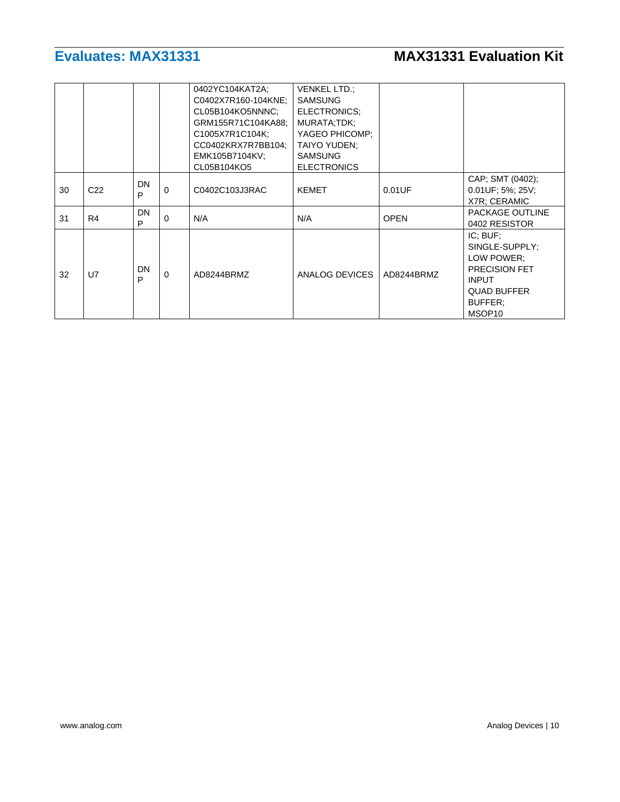|    |                 |         |          | 0402YC104KAT2A;<br>C0402X7R160-104KNE;<br>CL05B104KO5NNNC:<br>GRM155R71C104KA88;<br>C1005X7R1C104K;<br>CC0402KRX7R7BB104;<br>EMK105B7104KV;<br>CL05B104KO5 | <b>VENKEL LTD.:</b><br><b>SAMSUNG</b><br>ELECTRONICS:<br>MURATA;TDK;<br>YAGEO PHICOMP;<br>TAIYO YUDEN:<br><b>SAMSUNG</b><br><b>ELECTRONICS</b> |             |                                                                                                                                         |
|----|-----------------|---------|----------|------------------------------------------------------------------------------------------------------------------------------------------------------------|------------------------------------------------------------------------------------------------------------------------------------------------|-------------|-----------------------------------------------------------------------------------------------------------------------------------------|
| 30 | C <sub>22</sub> | DN<br>P | $\Omega$ | C0402C103J3RAC                                                                                                                                             | <b>KEMET</b>                                                                                                                                   | 0.01UF      | CAP; SMT (0402);<br>$0.01$ UF; 5%; 25V;<br>X7R; CERAMIC                                                                                 |
| 31 | R4              | DN<br>P | $\Omega$ | N/A                                                                                                                                                        | N/A                                                                                                                                            | <b>OPEN</b> | PACKAGE OUTLINE<br>0402 RESISTOR                                                                                                        |
| 32 | U7              | DN<br>P | $\Omega$ | AD8244BRMZ                                                                                                                                                 | ANALOG DEVICES                                                                                                                                 | AD8244BRMZ  | IC: BUF:<br>SINGLE-SUPPLY:<br>LOW POWER:<br><b>PRECISION FET</b><br><b>INPUT</b><br><b>QUAD BUFFER</b><br>BUFFER:<br>MSOP <sub>10</sub> |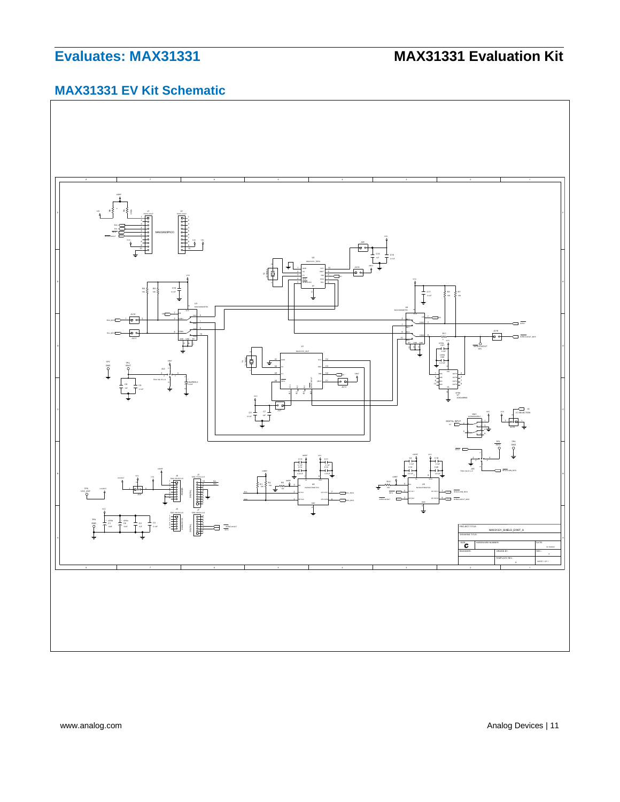# **MAX31331 EV Kit Schematic**

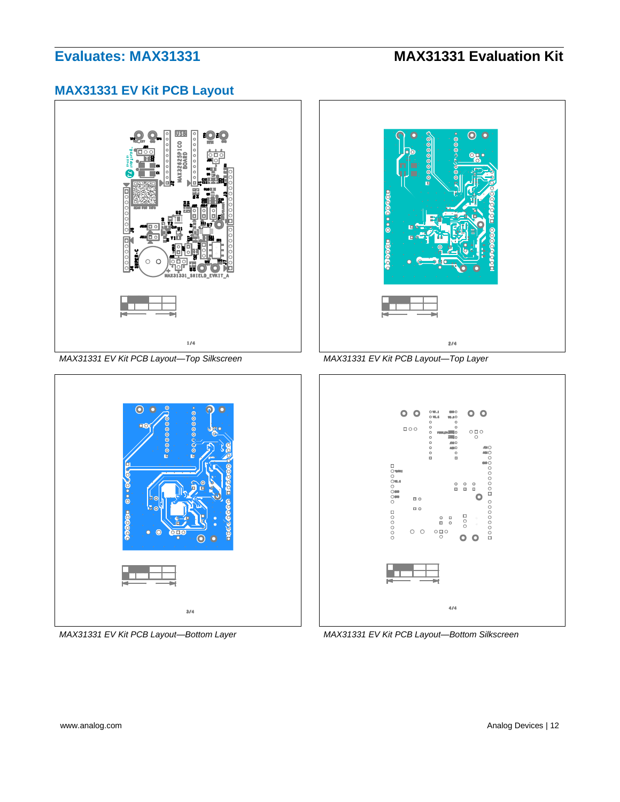## **MAX31331 EV Kit PCB Layout**



*MAX31331 EV Kit PCB Layout—Top Silkscreen MAX31331 EV Kit PCB Layout—Top Layer*







*MAX31331 EV Kit PCB Layout—Bottom Layer MAX31331 EV Kit PCB Layout—Bottom Silkscreen*